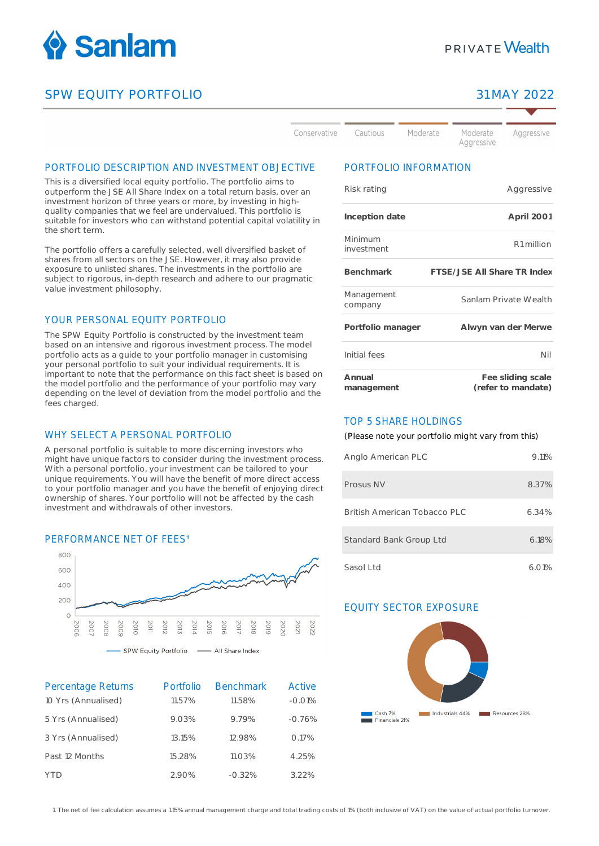

# SPW EQUITY PORTFOLIO 31 MAY 2022

Aggressive

Conservative

Moderate Moderate

Aggressive

#### PORTFOLIO DESCRIPTION AND INVESTMENT OBJECTIVE

This is a diversified local equity portfolio. The portfolio aims to outperform the JSE All Share Index on a total return basis, over an investment horizon of three years or more, by investing in highquality companies that we feel are undervalued. This portfolio is suitable for investors who can withstand potential capital volatility in the short term.

The portfolio offers a carefully selected, well diversified basket of shares from all sectors on the JSE. However, it may also provide exposure to unlisted shares. The investments in the portfolio are subject to rigorous, in-depth research and adhere to our pragmatic value investment philosophy.

### YOUR PERSONAL EQUITY PORTFOLIO

The SPW Equity Portfolio is constructed by the investment team based on an intensive and rigorous investment process. The model portfolio acts as a guide to your portfolio manager in customising your personal portfolio to suit your individual requirements. It is important to note that the performance on this fact sheet is based on the model portfolio and the performance of your portfolio may vary depending on the level of deviation from the model portfolio and the fees charged.

#### WHY SELECT A PERSONAL PORTFOLIO

A personal portfolio is suitable to more discerning investors who might have unique factors to consider during the investment process. With a personal portfolio, your investment can be tailored to your unique requirements. You will have the benefit of more direct access to your portfolio manager and you have the benefit of enjoying direct ownership of shares. Your portfolio will not be affected by the cash investment and withdrawals of other investors.

#### PERFORMANCE NET OF FFES<sup>1</sup>



SPW Equity Portfolio - All Share Index

| Percentage Returns  | Portfolio | <b>Benchmark</b> | Active   |
|---------------------|-----------|------------------|----------|
| 10 Yrs (Annualised) | 11.57%    | 11.58%           | $-0.01%$ |
| 5 Yrs (Annualised)  | 9.03%     | 9.79%            | $-0.76%$ |
| 3 Yrs (Annualised)  | 13.15%    | 12.98%           | 0.17%    |
| Past 12 Months      | 15.28%    | 11.03%           | 4.25%    |
| YTD                 | 2.90%     | $-0.32%$         | 3.22%    |

# PORTFOLIO INFORMATION

Cautious

| Risk rating           | Aggressive                              |
|-----------------------|-----------------------------------------|
| Inception date        | April 2001                              |
| Minimum<br>investment | R <sub>1</sub> million                  |
| Benchmark             | FTSE/JSE All Share TR Index             |
| Management<br>company | Sanlam Private Wealth                   |
| Portfolio manager     | Alwyn van der Merwe                     |
| Initial fees          | Nil                                     |
| Annual<br>management  | Fee sliding scale<br>(refer to mandate) |

#### TOP 5 SHARE HOLDINGS

(Please note your portfolio might vary from this)

| Anglo American PLC           | $9.11\%$ |
|------------------------------|----------|
| Prosus NV                    | 8.37%    |
| British American Tobacco PLC | 6.34%    |
| Standard Bank Group Ltd      | 6.18%    |
| Sasol Ltd                    | 6.01%    |

# EQUITY SECTOR EXPOSURE



1. The net of fee calculation assumes a 1.15% annual management charge and total trading costs of 1% (both inclusive of VAT) on the value of actual portfolio turnover.